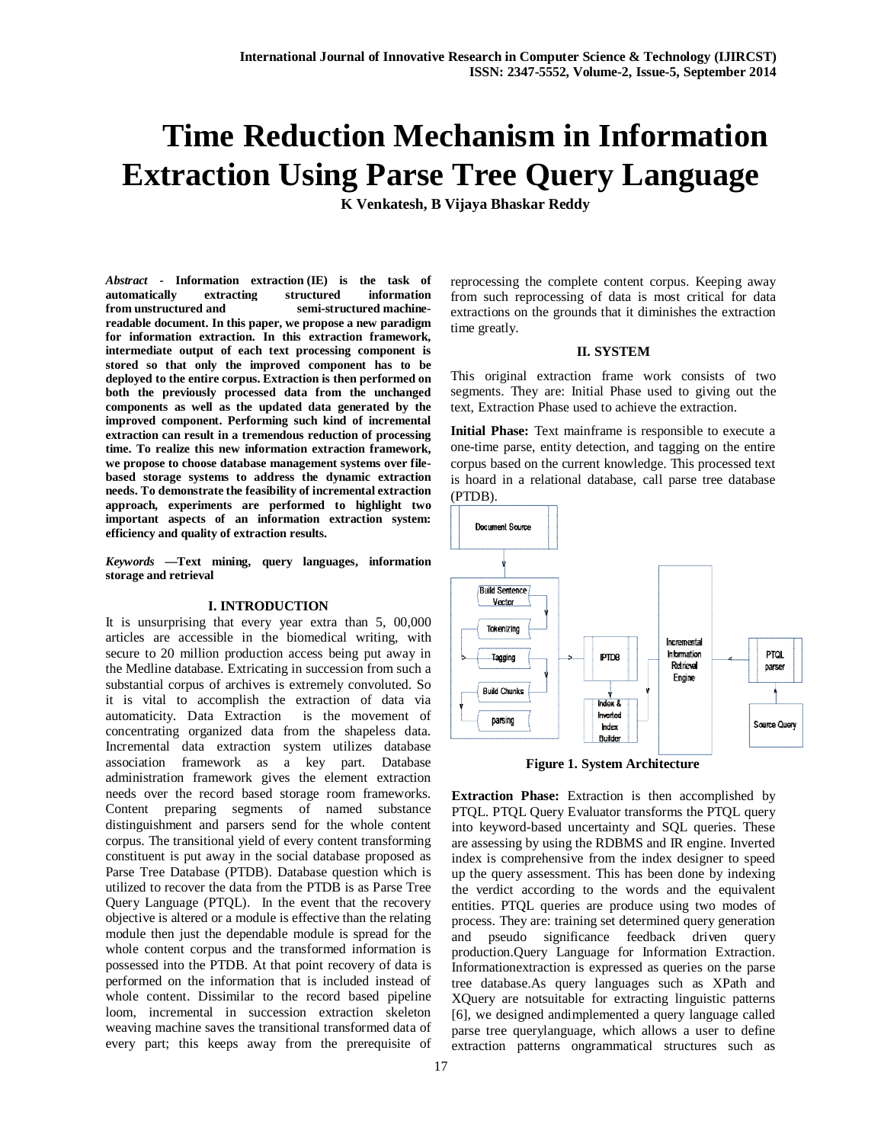# **Time Reduction Mechanism in Information Extraction Using Parse Tree Query Language**

**K Venkatesh, B Vijaya Bhaskar Reddy**

*Abstract -* **Information extraction (IE) is the task of automatically extracting structured information from unstructured and semi-structured machinereadable document. In this paper, we propose a new paradigm for information extraction. In this extraction framework, intermediate output of each text processing component is stored so that only the improved component has to be deployed to the entire corpus. Extraction is then performed on both the previously processed data from the unchanged components as well as the updated data generated by the improved component. Performing such kind of incremental extraction can result in a tremendous reduction of processing time. To realize this new information extraction framework, we propose to choose database management systems over filebased storage systems to address the dynamic extraction needs. To demonstrate the feasibility of incremental extraction approach, experiments are performed to highlight two important aspects of an information extraction system: efficiency and quality of extraction results.**

*Keywords —***Text mining, query languages, information storage and retrieval**

#### **I. INTRODUCTION**

It is unsurprising that every year extra than 5, 00,000 articles are accessible in the biomedical writing, with secure to 20 million production access being put away in the Medline database. Extricating in succession from such a substantial corpus of archives is extremely convoluted. So it is vital to accomplish the extraction of data via automaticity. Data Extraction is the movement of concentrating organized data from the shapeless data. Incremental data extraction system utilizes database association framework as a key part. Database administration framework gives the element extraction needs over the record based storage room frameworks. Content preparing segments of named substance distinguishment and parsers send for the whole content corpus. The transitional yield of every content transforming constituent is put away in the social database proposed as Parse Tree Database (PTDB). Database question which is utilized to recover the data from the PTDB is as Parse Tree Query Language (PTQL). In the event that the recovery objective is altered or a module is effective than the relating module then just the dependable module is spread for the whole content corpus and the transformed information is possessed into the PTDB. At that point recovery of data is performed on the information that is included instead of whole content. Dissimilar to the record based pipeline loom, incremental in succession extraction skeleton weaving machine saves the transitional transformed data of every part; this keeps away from the prerequisite of reprocessing the complete content corpus. Keeping away from such reprocessing of data is most critical for data extractions on the grounds that it diminishes the extraction time greatly.

## **II. SYSTEM**

This original extraction frame work consists of two segments. They are: Initial Phase used to giving out the text, Extraction Phase used to achieve the extraction.

**Initial Phase:** Text mainframe is responsible to execute a one-time parse, entity detection, and tagging on the entire corpus based on the current knowledge. This processed text is hoard in a relational database, call parse tree database (PTDB).



**Figure 1. System Architecture**

**Extraction Phase:** Extraction is then accomplished by PTQL. PTQL Query Evaluator transforms the PTQL query into keyword-based uncertainty and SQL queries. These are assessing by using the RDBMS and IR engine. Inverted index is comprehensive from the index designer to speed up the query assessment. This has been done by indexing the verdict according to the words and the equivalent entities. PTQL queries are produce using two modes of process. They are: training set determined query generation and pseudo significance feedback driven query production.Query Language for Information Extraction. Informationextraction is expressed as queries on the parse tree database.As query languages such as XPath and XQuery are notsuitable for extracting linguistic patterns [6], we designed andimplemented a query language called parse tree querylanguage, which allows a user to define extraction patterns ongrammatical structures such as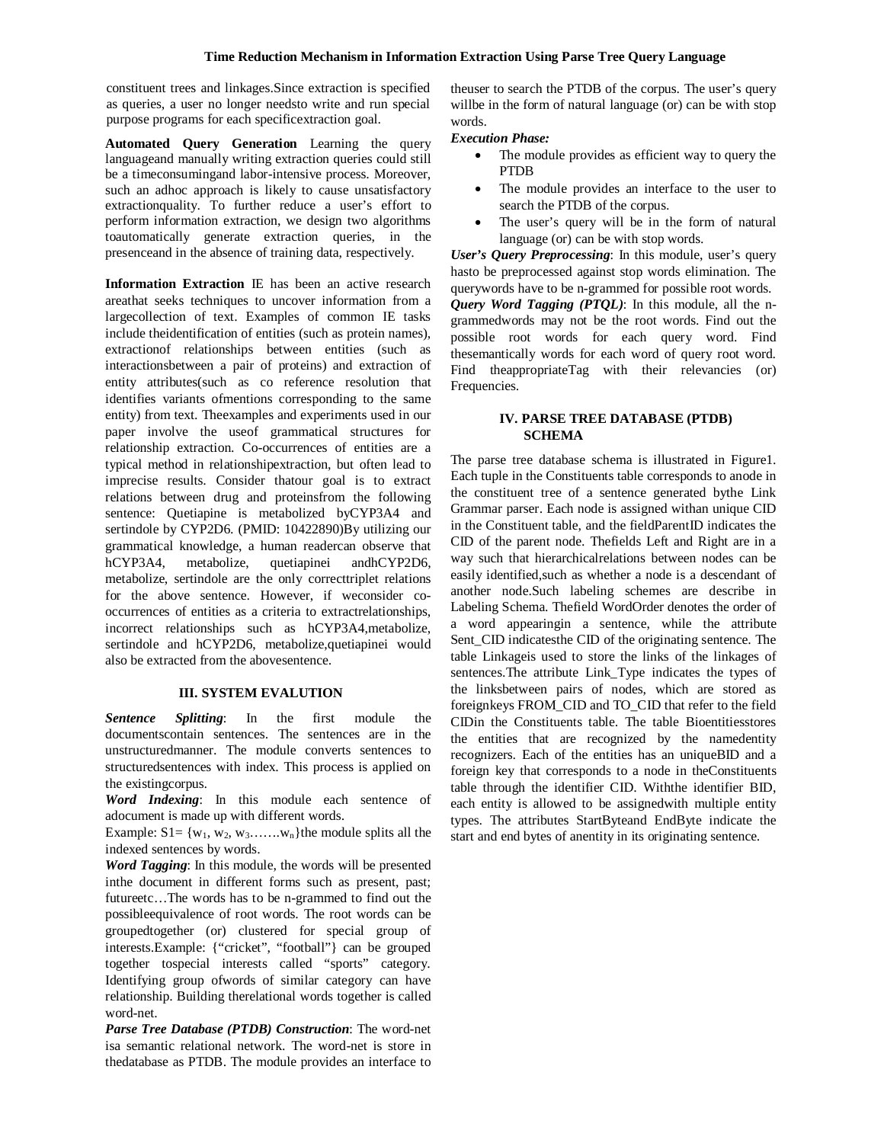constituent trees and linkages.Since extraction is specified as queries, a user no longer needsto write and run special purpose programs for each specificextraction goal.

**Automated Query Generation** Learning the query languageand manually writing extraction queries could still be a timeconsumingand labor-intensive process. Moreover, such an adhoc approach is likely to cause unsatisfactory extractionquality. To further reduce a user's effort to perform information extraction, we design two algorithms toautomatically generate extraction queries, in the presenceand in the absence of training data, respectively.

**Information Extraction** IE has been an active research areathat seeks techniques to uncover information from a largecollection of text. Examples of common IE tasks include theidentification of entities (such as protein names), extractionof relationships between entities (such as interactionsbetween a pair of proteins) and extraction of entity attributes(such as co reference resolution that identifies variants ofmentions corresponding to the same entity) from text. Theexamples and experiments used in our paper involve the useof grammatical structures for relationship extraction. Co-occurrences of entities are a typical method in relationshipextraction, but often lead to imprecise results. Consider thatour goal is to extract relations between drug and proteinsfrom the following sentence: Quetiapine is metabolized byCYP3A4 and sertindole by CYP2D6. (PMID: 10422890)By utilizing our grammatical knowledge, a human readercan observe that hCYP3A4, metabolize, quetiapinei andhCYP2D6, metabolize, sertindole are the only correcttriplet relations for the above sentence. However, if weconsider cooccurrences of entities as a criteria to extractrelationships, incorrect relationships such as hCYP3A4,metabolize, sertindole and hCYP2D6, metabolize,quetiapinei would also be extracted from the abovesentence.

# **III. SYSTEM EVALUTION**

*Sentence Splitting*: In the first module the documentscontain sentences. The sentences are in the unstructuredmanner. The module converts sentences to structuredsentences with index. This process is applied on the existingcorpus.

*Word Indexing*: In this module each sentence of adocument is made up with different words.

Example:  $S1 = \{w_1, w_2, w_3, \ldots, w_n\}$  the module splits all the indexed sentences by words.

*Word Tagging*: In this module, the words will be presented inthe document in different forms such as present, past; futureetc…The words has to be n-grammed to find out the possibleequivalence of root words. The root words can be groupedtogether (or) clustered for special group of interests.Example: {"cricket", "football"} can be grouped together tospecial interests called "sports" category. Identifying group ofwords of similar category can have relationship. Building therelational words together is called word-net.

*Parse Tree Database (PTDB) Construction*: The word-net isa semantic relational network. The word-net is store in thedatabase as PTDB. The module provides an interface to theuser to search the PTDB of the corpus. The user's query willbe in the form of natural language (or) can be with stop words.

## *Execution Phase:*

- The module provides as efficient way to query the PTDB
- The module provides an interface to the user to search the PTDB of the corpus.
- The user's query will be in the form of natural language (or) can be with stop words.

*User's Query Preprocessing*: In this module, user's query hasto be preprocessed against stop words elimination. The querywords have to be n-grammed for possible root words. *Query Word Tagging (PTQL)*: In this module, all the ngrammedwords may not be the root words. Find out the possible root words for each query word. Find thesemantically words for each word of query root word. Find theappropriateTag with their relevancies (or) Frequencies.

# **IV. PARSE TREE DATABASE (PTDB) SCHEMA**

The parse tree database schema is illustrated in Figure1. Each tuple in the Constituents table corresponds to anode in the constituent tree of a sentence generated bythe Link Grammar parser. Each node is assigned withan unique CID in the Constituent table, and the fieldParentID indicates the CID of the parent node. Thefields Left and Right are in a way such that hierarchicalrelations between nodes can be easily identified,such as whether a node is a descendant of another node.Such labeling schemes are describe in Labeling Schema. Thefield WordOrder denotes the order of a word appearingin a sentence, while the attribute Sent CID indicatesthe CID of the originating sentence. The table Linkageis used to store the links of the linkages of sentences.The attribute Link\_Type indicates the types of the linksbetween pairs of nodes, which are stored as foreignkeys FROM\_CID and TO\_CID that refer to the field CIDin the Constituents table. The table Bioentitiesstores the entities that are recognized by the namedentity recognizers. Each of the entities has an uniqueBID and a foreign key that corresponds to a node in theConstituents table through the identifier CID. Withthe identifier BID, each entity is allowed to be assignedwith multiple entity types. The attributes StartByteand EndByte indicate the start and end bytes of anentity in its originating sentence.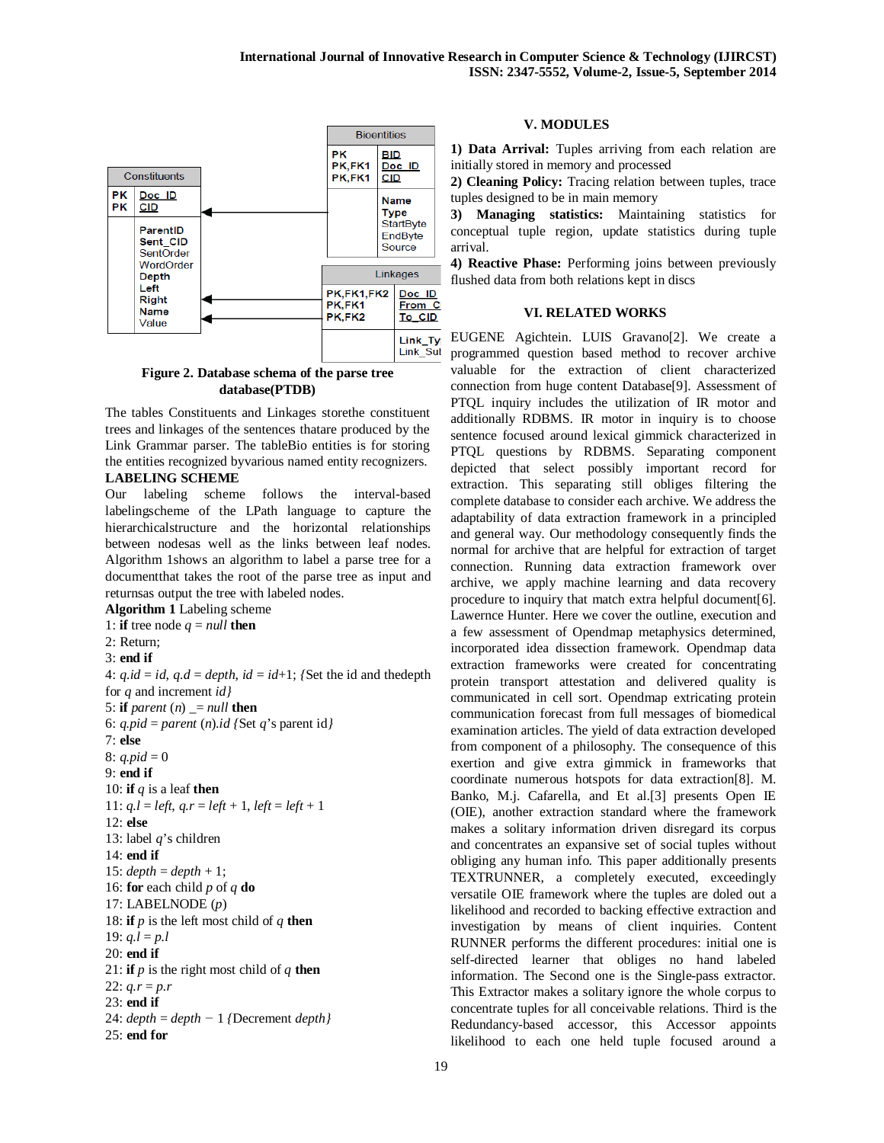

**Figure 2. Database schema of the parse tree database(PTDB)**

The tables Constituents and Linkages storethe constituent trees and linkages of the sentences thatare produced by the Link Grammar parser. The tableBio entities is for storing the entities recognized byvarious named entity recognizers. **LABELING SCHEME**

Our labeling scheme follows the interval-based labelingscheme of the LPath language to capture the hierarchicalstructure and the horizontal relationships between nodesas well as the links between leaf nodes. Algorithm 1shows an algorithm to label a parse tree for a documentthat takes the root of the parse tree as input and returnsas output the tree with labeled nodes.

## **Algorithm 1** Labeling scheme

1: **if** tree node  $q = null$  **then** 2: Return; 3: **end if** 4:  $q$ .*id* = *id*,  $q$ .*d* = *depth*, *id* = *id*+1; *{Set the id and thedepth* for *q* and increment *id}* 5: **if** *parent*  $(n)$   $\equiv$  *null* **then** 6: *q.pid* = *parent* (*n*)*.id* {Set *q*'s parent id} 7: **else** 8:  $q.pid = 0$ 9: **end if** 10: **if** *q* is a leaf **then** 11:  $q,l = left, q.r = left + 1, left = left + 1$ 12: **else** 13: label *q*'s children 14: **end if** 15:  $depth = depth + 1$ ; 16: **for** each child *p* of *q* **do** 17: LABELNODE (*p*) 18: **if**  $p$  is the left most child of  $q$  **then** 19:  $q,l = p.l$ 20: **end if** 21: **if**  $p$  is the right most child of  $q$  **then** 22:  $q.r = p.r$ 23: **end if** 24: *depth* = *depth −* 1 *{*Decrement *depth}* 25: **end for**

## **V. MODULES**

**1) Data Arrival:** Tuples arriving from each relation are initially stored in memory and processed

**2) Cleaning Policy:** Tracing relation between tuples, trace tuples designed to be in main memory

**3) Managing statistics:** Maintaining statistics for conceptual tuple region, update statistics during tuple arrival.

**4) Reactive Phase:** Performing joins between previously flushed data from both relations kept in discs

#### **VI. RELATED WORKS**

EUGENE Agichtein. LUIS Gravano[2]. We create a programmed question based method to recover archive valuable for the extraction of client characterized connection from huge content Database[9]. Assessment of PTQL inquiry includes the utilization of IR motor and additionally RDBMS. IR motor in inquiry is to choose sentence focused around lexical gimmick characterized in PTQL questions by RDBMS. Separating component depicted that select possibly important record for extraction. This separating still obliges filtering the complete database to consider each archive. We address the adaptability of data extraction framework in a principled and general way. Our methodology consequently finds the normal for archive that are helpful for extraction of target connection. Running data extraction framework over archive, we apply machine learning and data recovery procedure to inquiry that match extra helpful document[6]. Lawernce Hunter. Here we cover the outline, execution and a few assessment of Opendmap metaphysics determined, incorporated idea dissection framework. Opendmap data extraction frameworks were created for concentrating protein transport attestation and delivered quality is communicated in cell sort. Opendmap extricating protein communication forecast from full messages of biomedical examination articles. The yield of data extraction developed from component of a philosophy. The consequence of this exertion and give extra gimmick in frameworks that coordinate numerous hotspots for data extraction[8]. M. Banko, M.j. Cafarella, and Et al.[3] presents Open IE (OIE), another extraction standard where the framework makes a solitary information driven disregard its corpus and concentrates an expansive set of social tuples without obliging any human info. This paper additionally presents TEXTRUNNER, a completely executed, exceedingly versatile OIE framework where the tuples are doled out a likelihood and recorded to backing effective extraction and investigation by means of client inquiries. Content RUNNER performs the different procedures: initial one is self-directed learner that obliges no hand labeled information. The Second one is the Single-pass extractor. This Extractor makes a solitary ignore the whole corpus to concentrate tuples for all conceivable relations. Third is the Redundancy-based accessor, this Accessor appoints likelihood to each one held tuple focused around a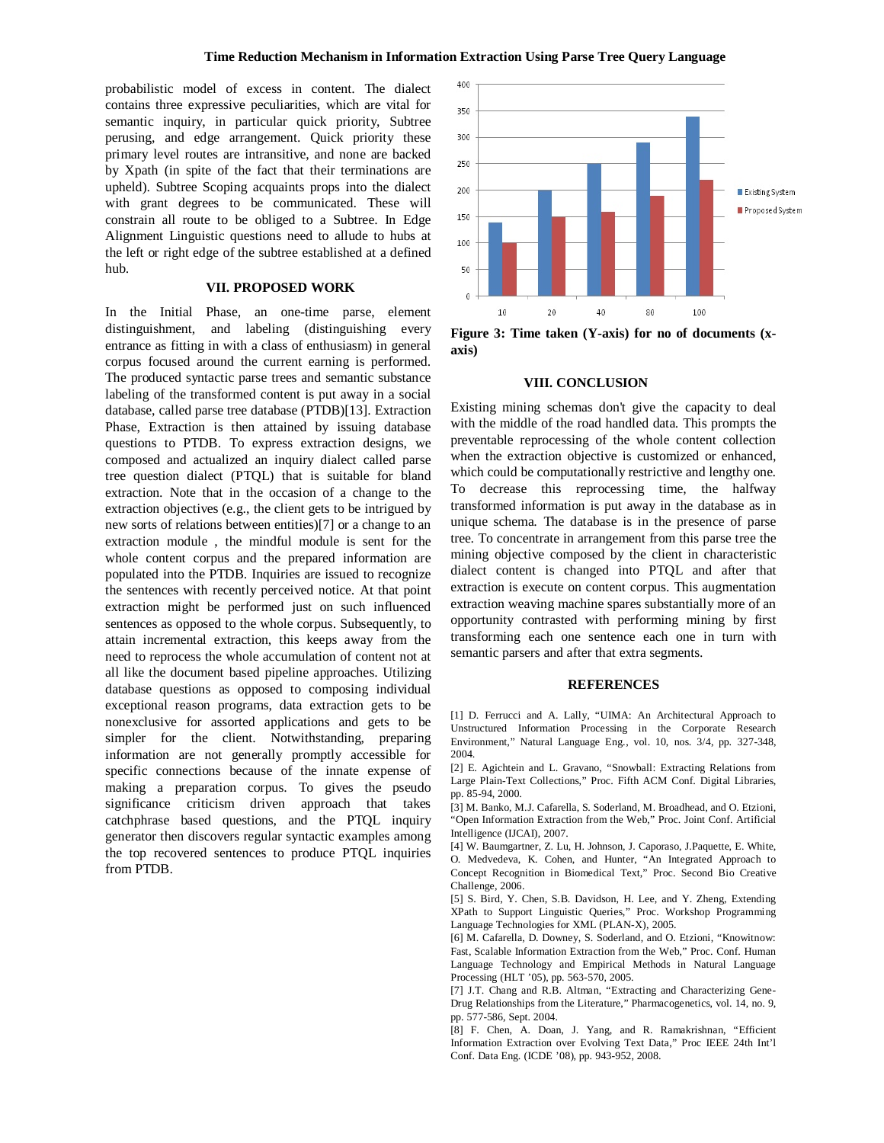probabilistic model of excess in content. The dialect contains three expressive peculiarities, which are vital for semantic inquiry, in particular quick priority, Subtree perusing, and edge arrangement. Quick priority these primary level routes are intransitive, and none are backed by Xpath (in spite of the fact that their terminations are upheld). Subtree Scoping acquaints props into the dialect with grant degrees to be communicated. These will constrain all route to be obliged to a Subtree. In Edge Alignment Linguistic questions need to allude to hubs at the left or right edge of the subtree established at a defined hub.

# **VII. PROPOSED WORK**

In the Initial Phase, an one-time parse, element distinguishment, and labeling (distinguishing every entrance as fitting in with a class of enthusiasm) in general corpus focused around the current earning is performed. The produced syntactic parse trees and semantic substance labeling of the transformed content is put away in a social database, called parse tree database (PTDB)[13]. Extraction Phase, Extraction is then attained by issuing database questions to PTDB. To express extraction designs, we composed and actualized an inquiry dialect called parse tree question dialect (PTQL) that is suitable for bland extraction. Note that in the occasion of a change to the extraction objectives (e.g., the client gets to be intrigued by new sorts of relations between entities)[7] or a change to an extraction module , the mindful module is sent for the whole content corpus and the prepared information are populated into the PTDB. Inquiries are issued to recognize the sentences with recently perceived notice. At that point extraction might be performed just on such influenced sentences as opposed to the whole corpus. Subsequently, to attain incremental extraction, this keeps away from the need to reprocess the whole accumulation of content not at all like the document based pipeline approaches. Utilizing database questions as opposed to composing individual exceptional reason programs, data extraction gets to be nonexclusive for assorted applications and gets to be simpler for the client. Notwithstanding, preparing information are not generally promptly accessible for specific connections because of the innate expense of making a preparation corpus. To gives the pseudo significance criticism driven approach that takes catchphrase based questions, and the PTQL inquiry generator then discovers regular syntactic examples among the top recovered sentences to produce PTQL inquiries from PTDB.



**Figure 3: Time taken (Y-axis) for no of documents (xaxis)**

### **VIII. CONCLUSION**

Existing mining schemas don't give the capacity to deal with the middle of the road handled data. This prompts the preventable reprocessing of the whole content collection when the extraction objective is customized or enhanced, which could be computationally restrictive and lengthy one. To decrease this reprocessing time, the halfway transformed information is put away in the database as in unique schema. The database is in the presence of parse tree. To concentrate in arrangement from this parse tree the mining objective composed by the client in characteristic dialect content is changed into PTQL and after that extraction is execute on content corpus. This augmentation extraction weaving machine spares substantially more of an opportunity contrasted with performing mining by first transforming each one sentence each one in turn with semantic parsers and after that extra segments.

#### **REFERENCES**

[1] D. Ferrucci and A. Lally, "UIMA: An Architectural Approach to Unstructured Information Processing in the Corporate Research Environment," Natural Language Eng., vol. 10, nos. 3/4, pp. 327-348, 2004.

[2] E. Agichtein and L. Gravano, "Snowball: Extracting Relations from Large Plain-Text Collections," Proc. Fifth ACM Conf. Digital Libraries, pp. 85-94, 2000.

[3] M. Banko, M.J. Cafarella, S. Soderland, M. Broadhead, and O. Etzioni, "Open Information Extraction from the Web," Proc. Joint Conf. Artificial Intelligence (IJCAI), 2007.

[4] W. Baumgartner, Z. Lu, H. Johnson, J. Caporaso, J.Paquette, E. White, O. Medvedeva, K. Cohen, and Hunter, "An Integrated Approach to Concept Recognition in Biomedical Text," Proc. Second Bio Creative Challenge, 2006.

[5] S. Bird, Y. Chen, S.B. Davidson, H. Lee, and Y. Zheng, Extending XPath to Support Linguistic Queries," Proc. Workshop Programming Language Technologies for XML (PLAN-X), 2005.

[6] M. Cafarella, D. Downey, S. Soderland, and O. Etzioni, "Knowitnow: Fast, Scalable Information Extraction from the Web," Proc. Conf. Human Language Technology and Empirical Methods in Natural Language Processing (HLT '05), pp. 563-570, 2005.

[7] J.T. Chang and R.B. Altman, "Extracting and Characterizing Gene-Drug Relationships from the Literature," Pharmacogenetics, vol. 14, no. 9, pp. 577-586, Sept. 2004.

[8] F. Chen, A. Doan, J. Yang, and R. Ramakrishnan, "Efficient Information Extraction over Evolving Text Data," Proc IEEE 24th Int'l Conf. Data Eng. (ICDE '08), pp. 943-952, 2008.